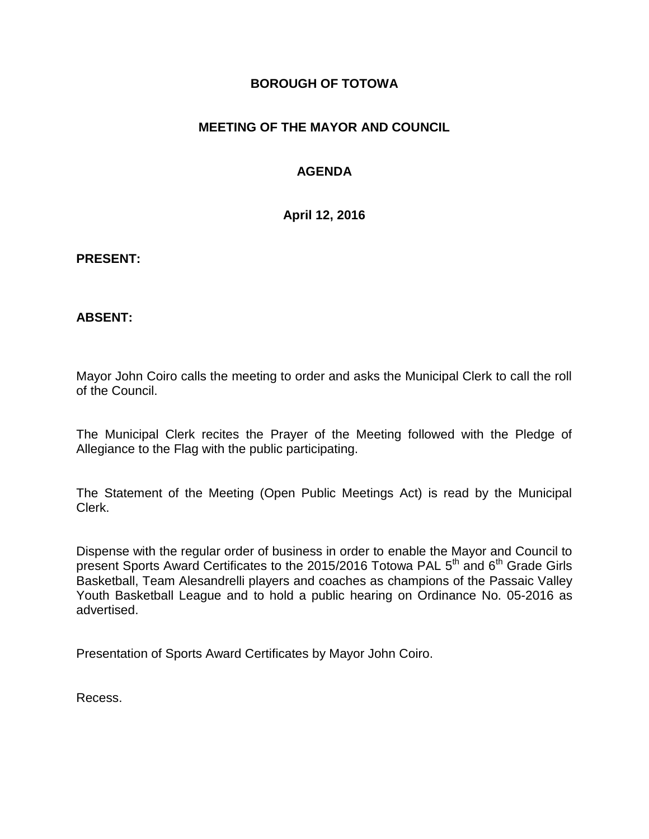## **BOROUGH OF TOTOWA**

# **MEETING OF THE MAYOR AND COUNCIL**

# **AGENDA**

**April 12, 2016**

#### **PRESENT:**

### **ABSENT:**

Mayor John Coiro calls the meeting to order and asks the Municipal Clerk to call the roll of the Council.

The Municipal Clerk recites the Prayer of the Meeting followed with the Pledge of Allegiance to the Flag with the public participating.

The Statement of the Meeting (Open Public Meetings Act) is read by the Municipal Clerk.

Dispense with the regular order of business in order to enable the Mayor and Council to present Sports Award Certificates to the 2015/2016 Totowa PAL 5<sup>th</sup> and 6<sup>th</sup> Grade Girls Basketball, Team Alesandrelli players and coaches as champions of the Passaic Valley Youth Basketball League and to hold a public hearing on Ordinance No. 05-2016 as advertised.

Presentation of Sports Award Certificates by Mayor John Coiro.

Recess.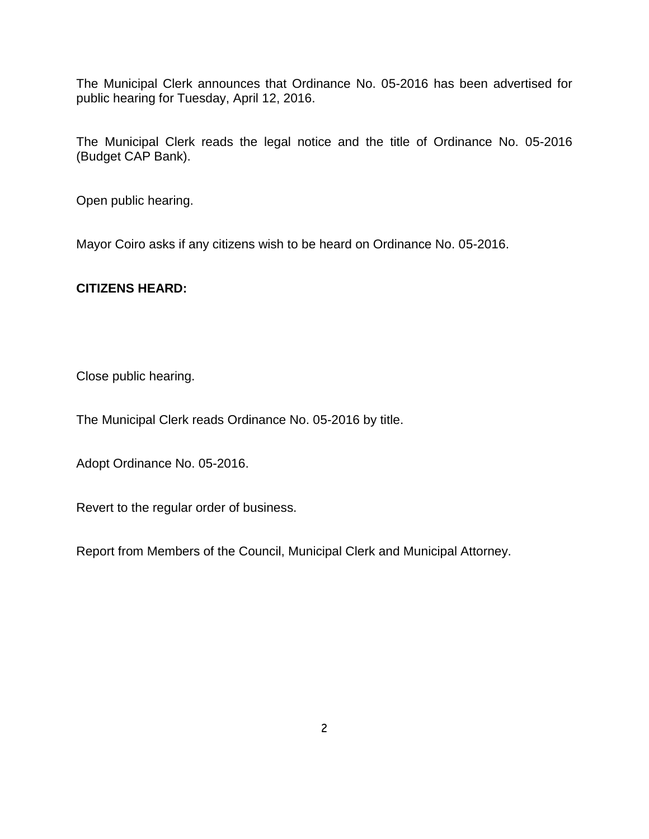The Municipal Clerk announces that Ordinance No. 05-2016 has been advertised for public hearing for Tuesday, April 12, 2016.

The Municipal Clerk reads the legal notice and the title of Ordinance No. 05-2016 (Budget CAP Bank).

Open public hearing.

Mayor Coiro asks if any citizens wish to be heard on Ordinance No. 05-2016.

### **CITIZENS HEARD:**

Close public hearing.

The Municipal Clerk reads Ordinance No. 05-2016 by title.

Adopt Ordinance No. 05-2016.

Revert to the regular order of business.

Report from Members of the Council, Municipal Clerk and Municipal Attorney.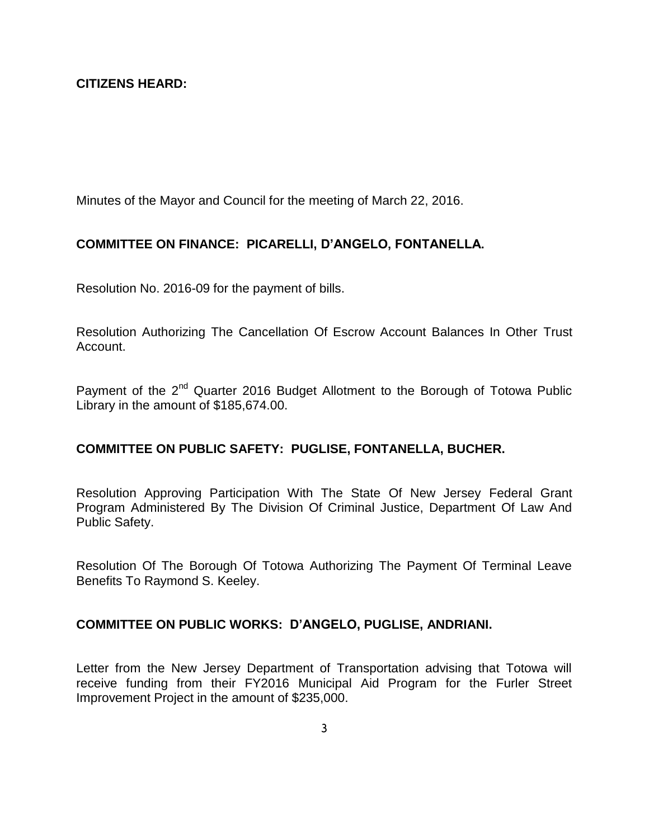### **CITIZENS HEARD:**

Minutes of the Mayor and Council for the meeting of March 22, 2016.

#### **COMMITTEE ON FINANCE: PICARELLI, D'ANGELO, FONTANELLA.**

Resolution No. 2016-09 for the payment of bills.

Resolution Authorizing The Cancellation Of Escrow Account Balances In Other Trust Account.

Payment of the 2<sup>nd</sup> Quarter 2016 Budget Allotment to the Borough of Totowa Public Library in the amount of \$185,674.00.

#### **COMMITTEE ON PUBLIC SAFETY: PUGLISE, FONTANELLA, BUCHER.**

Resolution Approving Participation With The State Of New Jersey Federal Grant Program Administered By The Division Of Criminal Justice, Department Of Law And Public Safety.

Resolution Of The Borough Of Totowa Authorizing The Payment Of Terminal Leave Benefits To Raymond S. Keeley.

#### **COMMITTEE ON PUBLIC WORKS: D'ANGELO, PUGLISE, ANDRIANI.**

Letter from the New Jersey Department of Transportation advising that Totowa will receive funding from their FY2016 Municipal Aid Program for the Furler Street Improvement Project in the amount of \$235,000.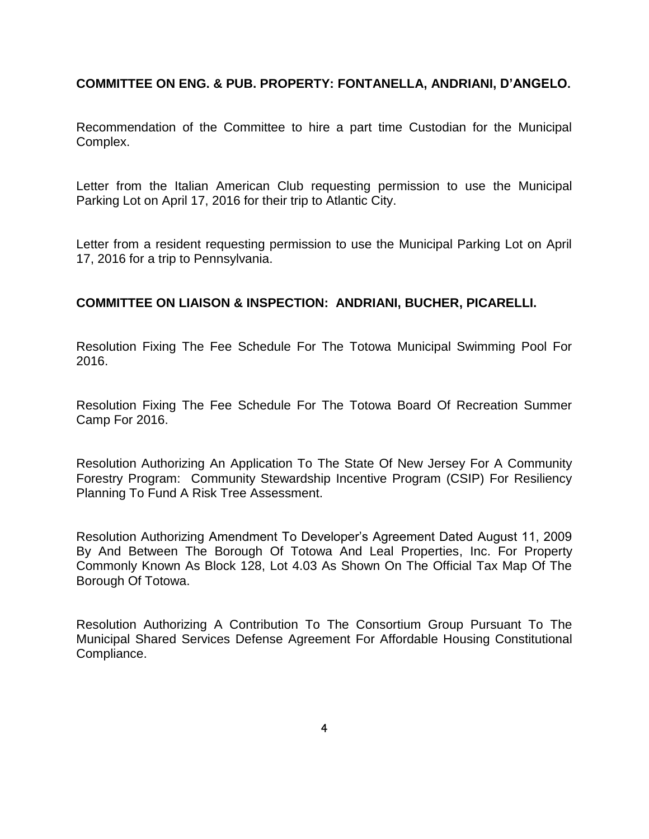**COMMITTEE ON ENG. & PUB. PROPERTY: FONTANELLA, ANDRIANI, D'ANGELO.**

Recommendation of the Committee to hire a part time Custodian for the Municipal Complex.

Letter from the Italian American Club requesting permission to use the Municipal Parking Lot on April 17, 2016 for their trip to Atlantic City.

Letter from a resident requesting permission to use the Municipal Parking Lot on April 17, 2016 for a trip to Pennsylvania.

## **COMMITTEE ON LIAISON & INSPECTION: ANDRIANI, BUCHER, PICARELLI.**

Resolution Fixing The Fee Schedule For The Totowa Municipal Swimming Pool For 2016.

Resolution Fixing The Fee Schedule For The Totowa Board Of Recreation Summer Camp For 2016.

Resolution Authorizing An Application To The State Of New Jersey For A Community Forestry Program: Community Stewardship Incentive Program (CSIP) For Resiliency Planning To Fund A Risk Tree Assessment.

Resolution Authorizing Amendment To Developer's Agreement Dated August 11, 2009 By And Between The Borough Of Totowa And Leal Properties, Inc. For Property Commonly Known As Block 128, Lot 4.03 As Shown On The Official Tax Map Of The Borough Of Totowa.

Resolution Authorizing A Contribution To The Consortium Group Pursuant To The Municipal Shared Services Defense Agreement For Affordable Housing Constitutional Compliance.